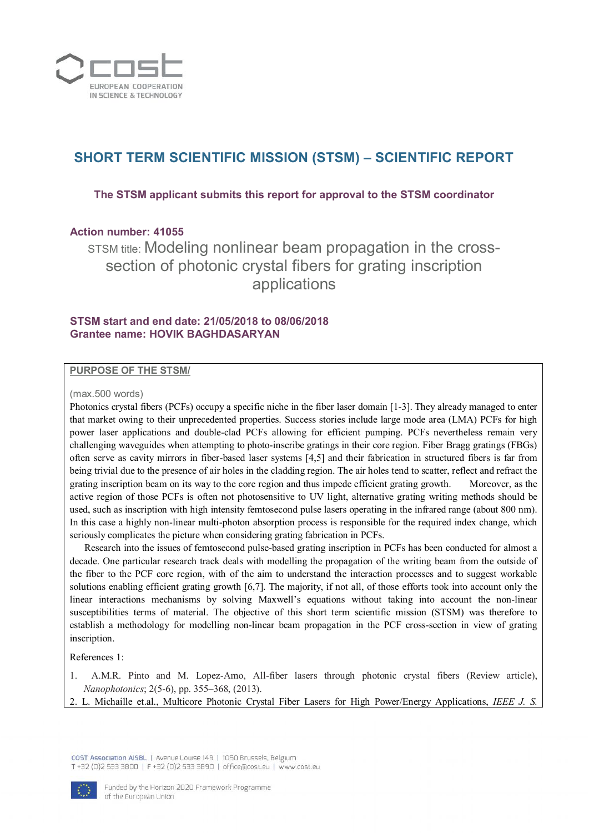

# **SHORT TERM SCIENTIFIC MISSION (STSM) – SCIENTIFIC REPORT**

**The STSM applicant submits this report for approval to the STSM coordinator**

# **Action number: 41055**

STSM title: Modeling nonlinear beam propagation in the crosssection of photonic crystal fibers for grating inscription applications

# **STSM start and end date: 21/05/2018 to 08/06/2018 Grantee name: HOVIK BAGHDASARYAN**

## **PURPOSE OF THE STSM/**

#### (max.500 words)

Photonics crystal fibers (PCFs) occupy a specific niche in the fiber laser domain [1-3]. They already managed to enter that market owing to their unprecedented properties. Success stories include large mode area (LMA) PCFs for high power laser applications and double-clad PCFs allowing for efficient pumping. PCFs nevertheless remain very challenging waveguides when attempting to photo-inscribe gratings in their core region. Fiber Bragg gratings (FBGs) often serve as cavity mirrors in fiber-based laser systems [4,5] and their fabrication in structured fibers is far from being trivial due to the presence of air holes in the cladding region. The air holes tend to scatter, reflect and refract the grating inscription beam on its way to the core region and thus impede efficient grating growth. Moreover, as the active region of those PCFs is often not photosensitive to UV light, alternative grating writing methods should be used, such as inscription with high intensity femtosecond pulse lasers operating in the infrared range (about 800 nm). In this case a highly non-linear multi-photon absorption process is responsible for the required index change, which seriously complicates the picture when considering grating fabrication in PCFs.

 Research into the issues of femtosecond pulse-based grating inscription in PCFs has been conducted for almost a decade. One particular research track deals with modelling the propagation of the writing beam from the outside of the fiber to the PCF core region, with of the aim to understand the interaction processes and to suggest workable solutions enabling efficient grating growth [6,7]. The majority, if not all, of those efforts took into account only the linear interactions mechanisms by solving Maxwell's equations without taking into account the non-linear susceptibilities terms of material. The objective of this short term scientific mission (STSM) was therefore to establish a methodology for modelling non-linear beam propagation in the PCF cross-section in view of grating inscription.

## References 1:

1. A.M.R. Pinto and M. Lopez-Amo, All-fiber lasers through photonic crystal fibers (Review article), *Nanophotonics*; 2(5-6), pp. 355–368, (2013).

2. L. Michaille et.al., Multicore Photonic Crystal Fiber Lasers for High Power/Energy Applications, *IEEE J. S.*

COST Association AISBL | Avenue Louise 149 | 1050 Brussels, Belgium T +32 (0)2 533 3800 | F +32 (0)2 533 3890 | office@cost.eu | www.cost.eu

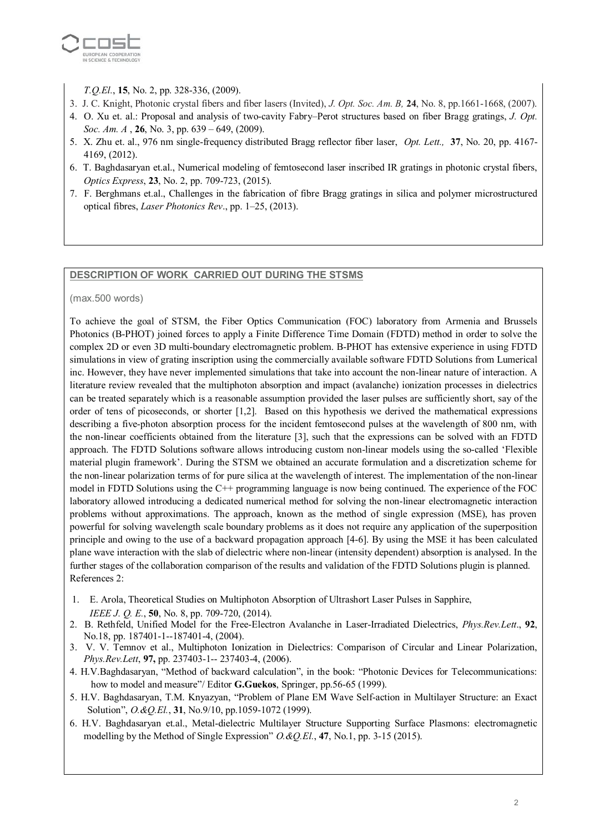

*T.Q.El.*, **15**, No. 2, pp. 328-336, (2009).

- 3. J. C. Knight, Photonic crystal fibers and fiber lasers (Invited), *J. Opt. Soc. Am. B,* **24**, No. 8, pp.1661-1668, (2007).
- 4. O. Xu et. al.: Proposal and analysis of two-cavity Fabry–Perot structures based on fiber Bragg gratings, *J. Opt. Soc. Am. A* , **26**, No. 3, pp. 639 – 649, (2009).
- 5. X. Zhu et. al., 976 nm single-frequency distributed Bragg reflector fiber laser, *Opt. Lett.,* **37**, No. 20, pp. 4167- 4169, (2012).
- 6. T. Baghdasaryan et.al., Numerical modeling of femtosecond laser inscribed IR gratings in photonic crystal fibers, *Optics Express*, **23**, No. 2, pp. 709-723, (2015).
- 7. F. Berghmans et.al., Challenges in the fabrication of fibre Bragg gratings in silica and polymer microstructured optical fibres, *Laser Photonics Rev*., pp. 1–25, (2013).

## **DESCRIPTION OF WORK CARRIED OUT DURING THE STSMS**

(max.500 words)

To achieve the goal of STSM, the Fiber Optics Communication (FOC) laboratory from Armenia and Brussels Photonics (B-PHOT) joined forces to apply a Finite Difference Time Domain (FDTD) method in order to solve the complex 2D or even 3D multi-boundary electromagnetic problem. B-PHOT has extensive experience in using FDTD simulations in view of grating inscription using the commercially available software FDTD Solutions from Lumerical inc. However, they have never implemented simulations that take into account the non-linear nature of interaction. A literature review revealed that the multiphoton absorption and impact (avalanche) ionization processes in dielectrics can be treated separately which is a reasonable assumption provided the laser pulses are sufficiently short, say of the order of tens of picoseconds, or shorter [1,2]. Based on this hypothesis we derived the mathematical expressions describing a five-photon absorption process for the incident femtosecond pulses at the wavelength of 800 nm, with the non-linear coefficients obtained from the literature [3], such that the expressions can be solved with an FDTD approach. The FDTD Solutions software allows introducing custom non-linear models using the so-called 'Flexible material plugin framework'. During the STSM we obtained an accurate formulation and a discretization scheme for the non-linear polarization terms of for pure silica at the wavelength of interest. The implementation of the non-linear model in FDTD Solutions using the C++ programming language is now being continued. The experience of the FOC laboratory allowed introducing a dedicated numerical method for solving the non-linear electromagnetic interaction problems without approximations. The approach, known as the method of single expression (MSE), has proven powerful for solving wavelength scale boundary problems as it does not require any application of the superposition principle and owing to the use of a backward propagation approach [4-6]. By using the MSE it has been calculated plane wave interaction with the slab of dielectric where non-linear (intensity dependent) absorption is analysed. In the further stages of the collaboration comparison of the results and validation of the FDTD Solutions plugin is planned. References 2:

- 1. E. Arola, Theoretical Studies on Multiphoton Absorption of Ultrashort Laser Pulses in Sapphire, *IEEE J. Q. E.*, **50**, No. 8, pp. 709-720, (2014).
- 2. B. Rethfeld, Unified Model for the Free-Electron Avalanche in Laser-Irradiated Dielectrics, *Phys.Rev.Lett*., **92**, No.18, pp. 187401-1--187401-4, (2004).
- 3. V. V. Temnov et al., Multiphoton Ionization in Dielectrics: Comparison of Circular and Linear Polarization, *Phys.Rev.Lett*, **97,** pp. 237403-1-- 237403-4, (2006).
- 4. H.V.Baghdasaryan, "Method of backward calculation", in the book: "Photonic Devices for Telecommunications: how to model and measure"/ Editor **G.Guekos**, Springer, pp.56-65 (1999).
- 5. H.V. Baghdasaryan, T.M. Knyazyan, "Problem of Plane EM Wave Self-action in Multilayer Structure: an Exact Solution", *O.&Q.El.*, **31**, No.9/10, pp.1059-1072 (1999).
- 6. H.V. Baghdasaryan et.al., Metal-dielectric Multilayer Structure Supporting Surface Plasmons: electromagnetic modelling by the Method of Single Expression" *O.&Q.El.*, **47**, No.1, pp. 3-15 (2015).